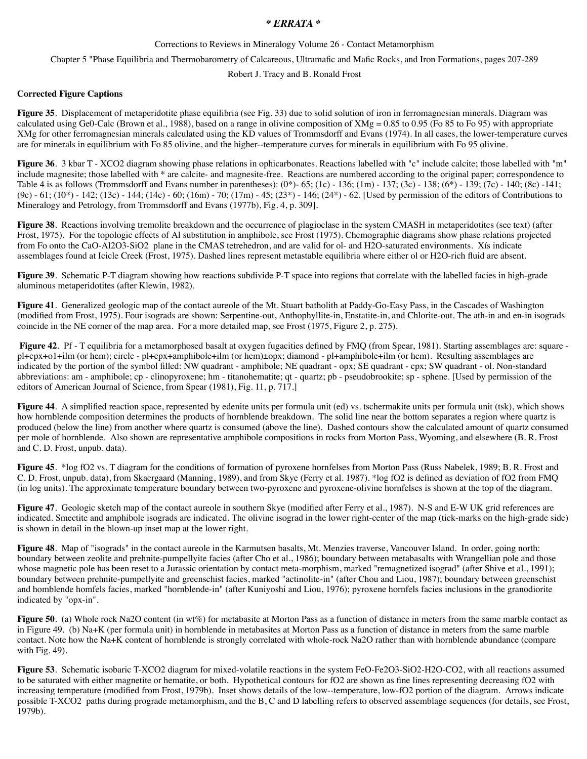## *\* ERRATA \**

Corrections to Reviews in Mineralogy Volume 26 - Contact Metamorphism

Chapter 5 "Phase Equilibria and Thermobarometry of Calcareous, Ultramafic and Mafic Rocks, and Iron Formations, pages 207-289

Robert J. Tracy and B. Ronald Frost

## **Corrected Figure Captions**

**Figure 35**. Displacement of metaperidotite phase equilibria (see Fig. 33) due to solid solution of iron in ferromagnesian minerals. Diagram was calculated using Ge0-Calc (Brown et al., 1988), based on a range in olivine composition of  $XMg = 0.85$  to 0.95 (Fo 85 to Fo 95) with appropriate XMg for other ferromagnesian minerals calculated using the KD values of Trommsdorff and Evans (1974). In all cases, the lower-temperature curves are for minerals in equilibrium with Fo 85 olivine, and the higher--temperature curves for minerals in equilibrium with Fo 95 olivine.

**Figure 36**. 3 kbar T - XCO2 diagram showing phase relations in ophicarbonates. Reactions labelled with "c" include calcite; those labelled with "m" include magnesite; those labelled with \* are calcite- and magnesite-free. Reactions are numbered according to the original paper; correspondence to Table 4 is as follows (Trommsdorff and Evans number in parentheses):  $(0^*)$ - 65;  $(1c)$  - 136;  $(1m)$  - 137;  $(3c)$  - 138;  $(6^*)$  - 139;  $(7c)$  - 140;  $(8c)$  -141;  $(9c) - 61$ ;  $(10*) - 142$ ;  $(13c) - 144$ ;  $(14c) - 60$ ;  $(16m) - 70$ ;  $(17m) - 45$ ;  $(23*) - 146$ ;  $(24*) - 62$ . [Used by permission of the editors of Contributions to Mineralogy and Petrology, from Trommsdorff and Evans (1977b), Fig. 4, p. 309].

**Figure 38**. Reactions involving tremolite breakdown and the occurrence of plagioclase in the system CMASH in metaperidotites (see text) (after Frost, 1975). For the topologic effects of Al substitution in amphibole, see Frost (1975). Chemographic diagrams show phase relations projected from Fo onto the CaO-Al2O3-SiO2 plane in the CMAS tetrehedron, and are valid for ol- and H2O-saturated environments. Xís indicate assemblages found at Icicle Creek (Frost, 1975). Dashed lines represent metastable equilibria where either ol or H2O-rich fluid are absent.

**Figure 39**. Schematic P-T diagram showing how reactions subdivide P-T space into regions that correlate with the labelled facies in high-grade aluminous metaperidotites (after Klewin, 1982).

**Figure 41**. Generalized geologic map of the contact aureole of the Mt. Stuart batholith at Paddy-Go-Easy Pass, in the Cascades of Washington (modified from Frost, 1975). Four isograds are shown: Serpentine-out, Anthophyllite-in, Enstatite-in, and Chlorite-out. The ath-in and en-in isograds coincide in the NE corner of the map area. For a more detailed map, see Frost (1975, Figure 2, p. 275).

Figure 42. Pf - T equilibria for a metamorphosed basalt at oxygen fugacities defined by FMQ (from Spear, 1981). Starting assemblages are: square pl+cpx+o1+ilm (or hem); circle - pl+cpx+amphibole+ilm (or hem)±opx; diamond - pl+amphibole+ilm (or hem). Resulting assemblages are indicated by the portion of the symbol filled: NW quadrant - amphibole; NE quadrant - opx; SE quadrant - cpx; SW quadrant - ol. Non-standard abbreviations: am - amphibole; cp - clinopyroxene; hm - titanohematite; qt - quartz; pb - pseudobrookite; sp - sphene. [Used by permission of the editors of American Journal of Science, from Spear (1981), Fig. 11, p. 717.]

Figure 44. A simplified reaction space, represented by edenite units per formula unit (ed) vs. tschermakite units per formula unit (tsk), which shows how hornblende composition determines the products of hornblende breakdown. The solid line near the bottom separates a region where quartz is produced (below the line) from another where quartz is consumed (above the line). Dashed contours show the calculated amount of quartz consumed per mole of hornblende. Also shown are representative amphibole compositions in rocks from Morton Pass, Wyoming, and elsewhere (B. R. Frost and C. D. Frost, unpub. data).

**Figure 45**. \*log fO2 vs. T diagram for the conditions of formation of pyroxene hornfelses from Morton Pass (Russ Nabelek, 1989; B. R. Frost and C. D. Frost, unpub. data), from Skaergaard (Manning, 1989), and from Skye (Ferry et al. 1987). \*log fO2 is defined as deviation of fO2 from FMQ (in log units). The approximate temperature boundary between two-pyroxene and pyroxene-olivine hornfelses is shown at the top of the diagram.

**Figure 47**. Geologic sketch map of the contact aureole in southern Skye (modified after Ferry et al., 1987). N-S and E-W UK grid references are indicated. Smectite and amphibole isograds are indicated. Thc olivine isograd in the lower right-center of the map (tick-marks on the high-grade side) is shown in detail in the blown-up inset map at the lower right.

**Figure 48**. Map of "isograds" in the contact aureole in the Karmutsen basalts, Mt. Menzies traverse, Vancouver Island. In order, going north: boundary between zeolite and prehnite-pumpellyite facies (after Cho et al., 1986); boundary between metabasalts with Wrangellian pole and those whose magnetic pole has been reset to a Jurassic orientation by contact meta-morphism, marked "remagnetized isograd" (after Shive et al., 1991); boundary between prehnite-pumpellyite and greenschist facies, marked "actinolite-in" (after Chou and Liou, 1987); boundary between greenschist and homblende homfels facies, marked "hornblende-in" (after Kuniyoshi and Liou, 1976); pyroxene hornfels facies inclusions in the granodiorite indicated by "opx-in".

**Figure 50**. (a) Whole rock Na2O content (in wt%) for metabasite at Morton Pass as a function of distance in meters from the same marble contact as in Figure 49. (b) Na+K (per formula unit) in hornblende in metabasites at Morton Pass as a function of distance in meters from the same marble contact. Note how the Na+K content of hornblende is strongly correlated with whole-rock Na2O rather than with hornblende abundance (compare with Fig. 49).

**Figure 53**. Schematic isobaric T-XCO2 diagram for mixed-volatile reactions in the system FeO-Fe2O3-SiO2-H2O-CO2, with all reactions assumed to be saturated with either magnetite or hematite, or both. Hypothetical contours for fO2 are shown as fine lines representing decreasing fO2 with increasing temperature (modified from Frost, 1979b). Inset shows details of the low--temperature, low-fO2 portion of the diagram. Arrows indicate possible T-XCO2 paths during prograde metamorphism, and the B, C and D labelling refers to observed assemblage sequences (for details, see Frost, 1979b).